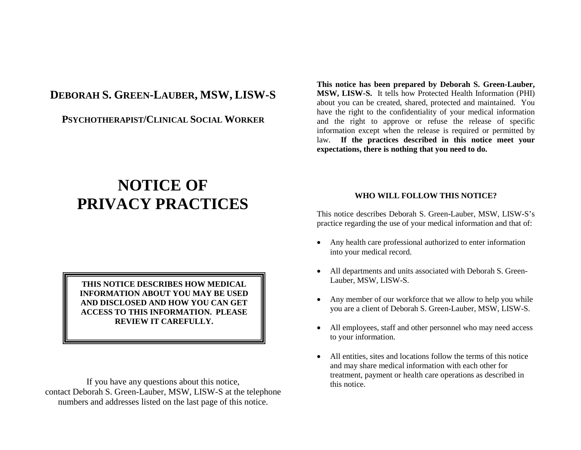# **DEBORAH S. GREEN-LAUBER, MSW, LISW-S**

**PSYCHOTHERAPIST/CLINICAL SOCIAL WORKER**

# **NOTICE OF PRIVACY PRACTICES**

**THIS NOTICE DESCRIBES HOW MEDICAL INFORMATION ABOUT YOU MAY BE USED AND DISCLOSED AND HOW YOU CAN GET ACCESS TO THIS INFORMATION. PLEASE REVIEW IT CAREFULLY.**

If you have any questions about this notice, contact Deborah S. Green-Lauber, MSW, LISW-S at the telephone numbers and addresses listed on the last page of this notice.

**This notice has been prepared by Deborah S. Green-Lauber, MSW, LISW-S.** It tells how Protected Health Information (PHI) about you can be created, shared, protected and maintained. You have the right to the confidentiality of your medical information and the right to approve or refuse the release of specific information except when the release is required or permitted by law. **If the practices described in this notice meet your expectations, there is nothing that you need to do.**

#### **WHO WILL FOLLOW THIS NOTICE?**

This notice describes Deborah S. Green-Lauber, MSW, LISW-S's practice regarding the use of your medical information and that of:

- Any health care professional authorized to enter information into your medical record.
- All departments and units associated with Deborah S. Green-Lauber, MSW, LISW-S.
- Any member of our workforce that we allow to help you while you are a client of Deborah S. Green-Lauber, MSW, LISW-S.
- All employees, staff and other personnel who may need access to your information.
- All entities, sites and locations follow the terms of this notice and may share medical information with each other for treatment, payment or health care operations as described in this notice.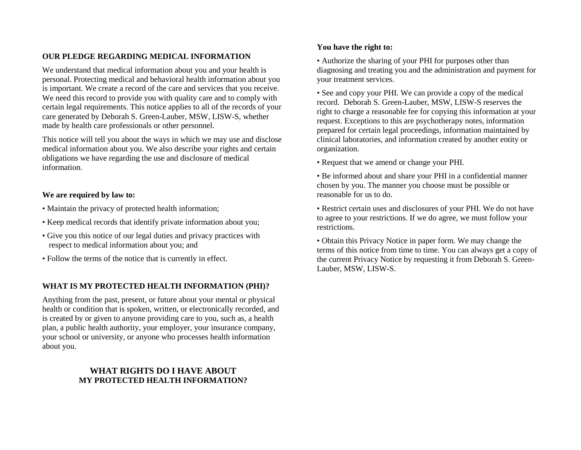#### **OUR PLEDGE REGARDING MEDICAL INFORMATION**

We understand that medical information about you and your health is personal. Protecting medical and behavioral health information about you is important. We create a record of the care and services that you receive. We need this record to provide you with quality care and to comply with certain legal requirements. This notice applies to all of the records of your care generated by Deborah S. Green-Lauber, MSW, LISW-S, whether made by health care professionals or other personnel.

This notice will tell you about the ways in which we may use and disclose medical information about you. We also describe your rights and certain obligations we have regarding the use and disclosure of medical information.

#### **We are required by law to:**

- Maintain the privacy of protected health information;
- Keep medical records that identify private information about you;
- Give you this notice of our legal duties and privacy practices with respect to medical information about you; and
- Follow the terms of the notice that is currently in effect.

#### **WHAT IS MY PROTECTED HEALTH INFORMATION (PHI)?**

Anything from the past, present, or future about your mental or physical health or condition that is spoken, written, or electronically recorded, and is created by or given to anyone providing care to you, such as, a health plan, a public health authority, your employer, your insurance company, your school or university, or anyone who processes health information about you.

### **WHAT RIGHTS DO I HAVE ABOUT MY PROTECTED HEALTH INFORMATION?**

#### **You have the right to:**

• Authorize the sharing of your PHI for purposes other than diagnosing and treating you and the administration and payment for your treatment services.

• See and copy your PHI. We can provide a copy of the medical record. Deborah S. Green-Lauber, MSW, LISW-S reserves the right to charge a reasonable fee for copying this information at your request. Exceptions to this are psychotherapy notes, information prepared for certain legal proceedings, information maintained by clinical laboratories, and information created by another entity or organization.

- Request that we amend or change your PHI.
- Be informed about and share your PHI in a confidential manner chosen by you. The manner you choose must be possible or reasonable for us to do.
- Restrict certain uses and disclosures of your PHI. We do not have to agree to your restrictions. If we do agree, we must follow your restrictions.
- Obtain this Privacy Notice in paper form. We may change the terms of this notice from time to time. You can always get a copy of the current Privacy Notice by requesting it from Deborah S. Green-Lauber, MSW, LISW-S.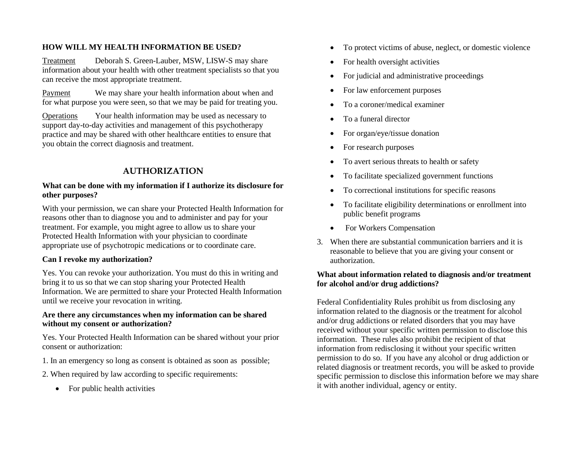#### **HOW WILL MY HEALTH INFORMATION BE USED?**

Treatment Deborah S. Green-Lauber, MSW, LISW-S may share information about your health with other treatment specialists so that you can receive the most appropriate treatment.

Payment We may share your health information about when and for what purpose you were seen, so that we may be paid for treating you.

Operations Your health information may be used as necessary to support day-to-day activities and management of this psychotherapy practice and may be shared with other healthcare entities to ensure that you obtain the correct diagnosis and treatment.

## **AUTHORIZATION**

#### **What can be done with my information if I authorize its disclosure for other purposes?**

With your permission, we can share your Protected Health Information for reasons other than to diagnose you and to administer and pay for your treatment. For example, you might agree to allow us to share your Protected Health Information with your physician to coordinate appropriate use of psychotropic medications or to coordinate care.

#### **Can I revoke my authorization?**

Yes. You can revoke your authorization. You must do this in writing and bring it to us so that we can stop sharing your Protected Health Information. We are permitted to share your Protected Health Information until we receive your revocation in writing.

#### **Are there any circumstances when my information can be shared without my consent or authorization?**

Yes. Your Protected Health Information can be shared without your prior consent or authorization:

- 1. In an emergency so long as consent is obtained as soon as possible;
- 2. When required by law according to specific requirements:
	- For public health activities
- To protect victims of abuse, neglect, or domestic violence
- For health oversight activities
- For judicial and administrative proceedings
- For law enforcement purposes
- To a coroner/medical examiner
- To a funeral director
- For organ/eye/tissue donation
- For research purposes
- To avert serious threats to health or safety
- To facilitate specialized government functions
- To correctional institutions for specific reasons
- To facilitate eligibility determinations or enrollment into public benefit programs
- For Workers Compensation
- 3. When there are substantial communication barriers and it is reasonable to believe that you are giving your consent or authorization.

#### **What about information related to diagnosis and/or treatment for alcohol and/or drug addictions?**

Federal Confidentiality Rules prohibit us from disclosing any information related to the diagnosis or the treatment for alcohol and/or drug addictions or related disorders that you may have received without your specific written permission to disclose this information. These rules also prohibit the recipient of that information from redisclosing it without your specific written permission to do so. If you have any alcohol or drug addiction or related diagnosis or treatment records, you will be asked to provide specific permission to disclose this information before we may share it with another individual, agency or entity.